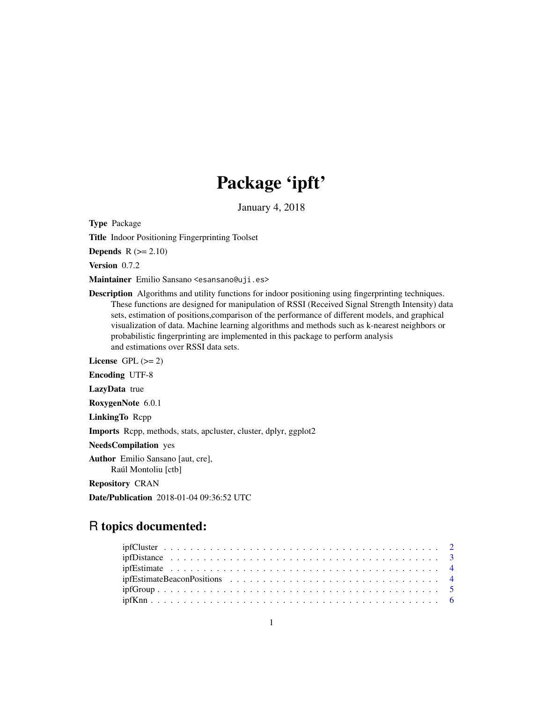# Package 'ipft'

January 4, 2018

Type Package

Title Indoor Positioning Fingerprinting Toolset

Depends  $R (= 2.10)$ 

Version 0.7.2

Maintainer Emilio Sansano <esansano@uji.es>

Description Algorithms and utility functions for indoor positioning using fingerprinting techniques. These functions are designed for manipulation of RSSI (Received Signal Strength Intensity) data sets, estimation of positions,comparison of the performance of different models, and graphical visualization of data. Machine learning algorithms and methods such as k-nearest neighbors or probabilistic fingerprinting are implemented in this package to perform analysis and estimations over RSSI data sets.

License GPL  $(>= 2)$ 

Encoding UTF-8

LazyData true

RoxygenNote 6.0.1

LinkingTo Rcpp

Imports Rcpp, methods, stats, apcluster, cluster, dplyr, ggplot2

NeedsCompilation yes

Author Emilio Sansano [aut, cre], Raúl Montoliu [ctb]

Repository CRAN

Date/Publication 2018-01-04 09:36:52 UTC

# R topics documented:

| $ipfGroup \dots \dots \dots \dots \dots \dots \dots \dots \dots \dots \dots \dots \dots \dots \dots \dots \dots \dots$ |  |
|------------------------------------------------------------------------------------------------------------------------|--|
|                                                                                                                        |  |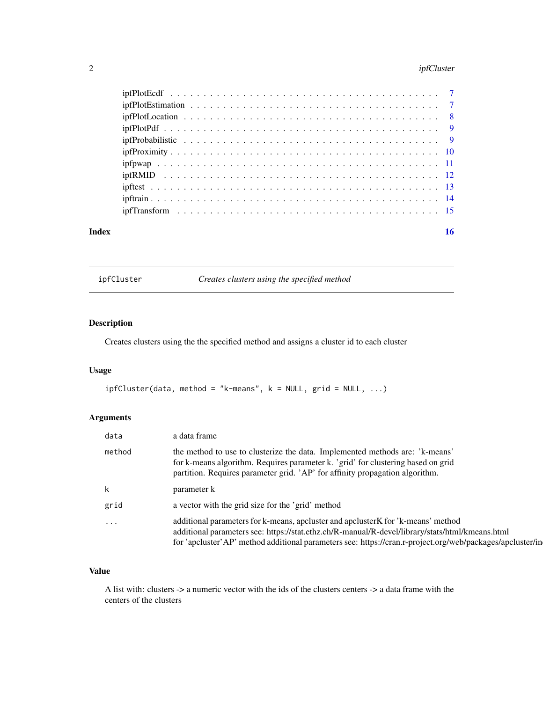# <span id="page-1-0"></span>2 ipfCluster

| Index | 16 |
|-------|----|

ipfCluster *Creates clusters using the specified method*

# Description

Creates clusters using the the specified method and assigns a cluster id to each cluster

# Usage

ipfCluster(data, method = "k-means", k = NULL, grid = NULL, ...)

# Arguments

| data     | a data frame                                                                                                                                                                                                                                                                                      |
|----------|---------------------------------------------------------------------------------------------------------------------------------------------------------------------------------------------------------------------------------------------------------------------------------------------------|
| method   | the method to use to clusterize the data. Implemented methods are: 'k-means'<br>for k-means algorithm. Requires parameter k. 'grid' for clustering based on grid<br>partition. Requires parameter grid. 'AP' for affinity propagation algorithm.                                                  |
|          | parameter k                                                                                                                                                                                                                                                                                       |
| grid     | a vector with the grid size for the 'grid' method                                                                                                                                                                                                                                                 |
| $\cdots$ | additional parameters for k-means, apcluster and apcluster K for 'k-means' method<br>additional parameters see: https://stat.ethz.ch/R-manual/R-devel/library/stats/html/kmeans.html<br>for 'apcluster'AP' method additional parameters see: https://cran.r-project.org/web/packages/apcluster/in |

# Value

A list with: clusters -> a numeric vector with the ids of the clusters centers -> a data frame with the centers of the clusters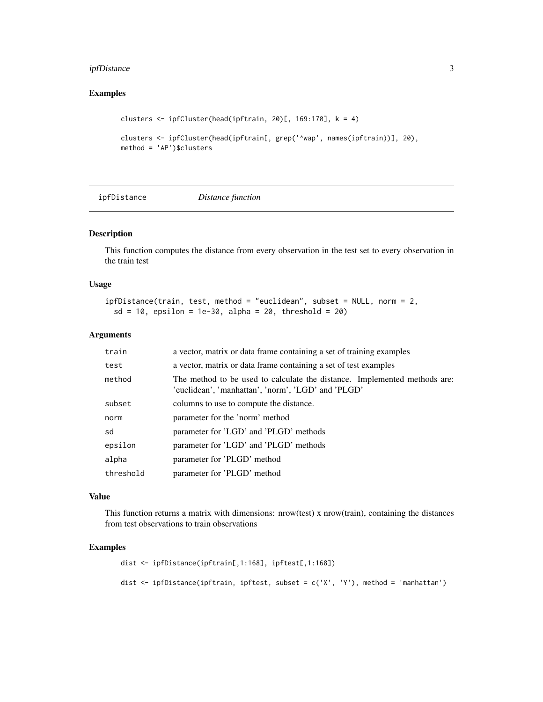# <span id="page-2-0"></span>ipfDistance 3

# Examples

```
clusters <- ipfCluster(head(ipftrain, 20)[, 169:170], k = 4)
clusters <- ipfCluster(head(ipftrain[, grep('^wap', names(ipftrain))], 20),
method = 'AP')$clusters
```
ipfDistance *Distance function*

#### Description

This function computes the distance from every observation in the test set to every observation in the train test

#### Usage

```
ipfDistance(train, test, method = "euclidean", subset = NULL, norm = 2,
 sd = 10, epsilon = 1e-30, alpha = 20, threshold = 20)
```
#### Arguments

| train     | a vector, matrix or data frame containing a set of training examples                                                            |
|-----------|---------------------------------------------------------------------------------------------------------------------------------|
| test      | a vector, matrix or data frame containing a set of test examples                                                                |
| method    | The method to be used to calculate the distance. Implemented methods are:<br>'euclidean', 'manhattan', 'norm', 'LGD' and 'PLGD' |
| subset    | columns to use to compute the distance.                                                                                         |
| norm      | parameter for the 'norm' method                                                                                                 |
| sd        | parameter for 'LGD' and 'PLGD' methods                                                                                          |
| epsilon   | parameter for 'LGD' and 'PLGD' methods                                                                                          |
| alpha     | parameter for 'PLGD' method                                                                                                     |
| threshold | parameter for 'PLGD' method                                                                                                     |

#### Value

This function returns a matrix with dimensions: nrow(test) x nrow(train), containing the distances from test observations to train observations

```
dist <- ipfDistance(ipftrain[,1:168], ipftest[,1:168])
dist <- ipfDistance(ipftrain, ipftest, subset = c('X', 'Y'), method = 'manhattan')
```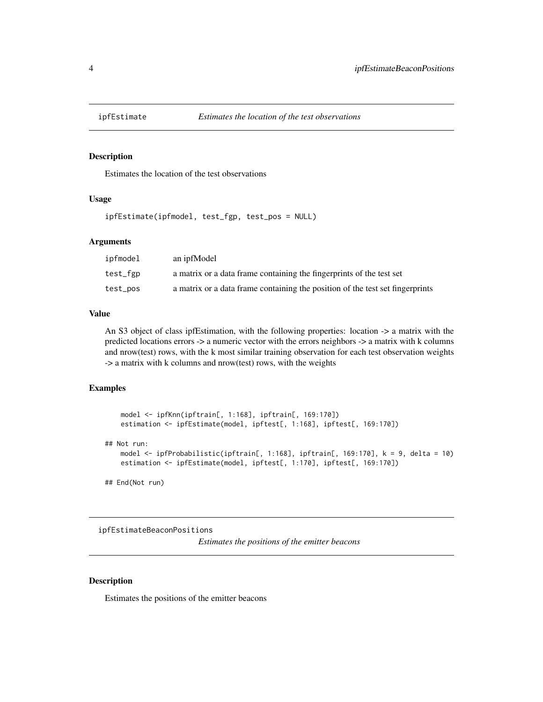<span id="page-3-0"></span>

# Description

Estimates the location of the test observations

### Usage

```
ipfEstimate(ipfmodel, test_fgp, test_pos = NULL)
```
#### Arguments

| ipfmodel | an ipfModel                                                                   |
|----------|-------------------------------------------------------------------------------|
| test_fgp | a matrix or a data frame containing the fingerprints of the test set          |
| test_pos | a matrix or a data frame containing the position of the test set fingerprints |

#### Value

An S3 object of class ipfEstimation, with the following properties: location -> a matrix with the predicted locations errors -> a numeric vector with the errors neighbors -> a matrix with k columns and nrow(test) rows, with the k most similar training observation for each test observation weights -> a matrix with k columns and nrow(test) rows, with the weights

#### Examples

```
model <- ipfKnn(ipftrain[, 1:168], ipftrain[, 169:170])
   estimation <- ipfEstimate(model, ipftest[, 1:168], ipftest[, 169:170])
## Not run:
   model <- ipfProbabilistic(ipftrain[, 1:168], ipftrain[, 169:170], k = 9, delta = 10)
   estimation <- ipfEstimate(model, ipftest[, 1:170], ipftest[, 169:170])
```
## End(Not run)

ipfEstimateBeaconPositions

*Estimates the positions of the emitter beacons*

# Description

Estimates the positions of the emitter beacons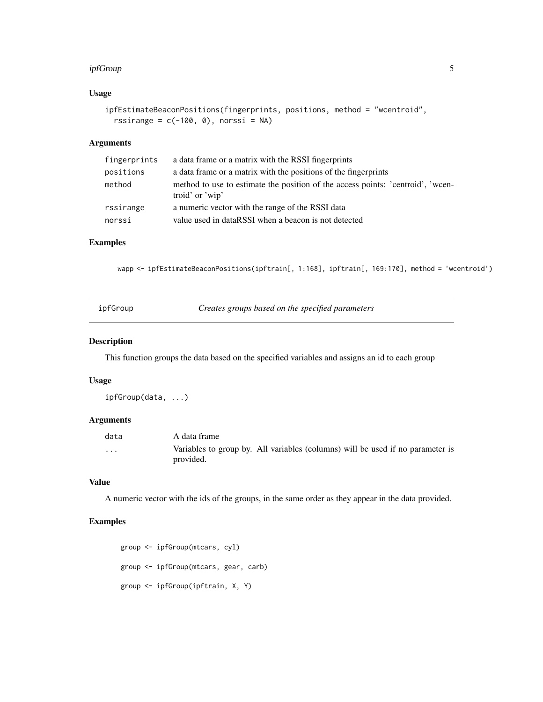#### <span id="page-4-0"></span>ipfGroup 55 to 55 and 55 and 55 and 55 and 55 and 55 and 55 and 55 and 55 and 55 and 55 and 55 and 55 and 55 and 55 and 55 and 55 and 55 and 55 and 55 and 55 and 55 and 55 and 55 and 55 and 55 and 55 and 55 and 55 and 55 a

# Usage

```
ipfEstimateBeaconPositions(fingerprints, positions, method = "wcentroid",
 rssirange = c(-100, 0), norssi = NA)
```
### Arguments

| fingerprints | a data frame or a matrix with the RSSI fingerprints                                                |
|--------------|----------------------------------------------------------------------------------------------------|
| positions    | a data frame or a matrix with the positions of the fingerprints                                    |
| method       | method to use to estimate the position of the access points: 'centroid', 'wcen-<br>troid' or 'wip' |
| rssirange    | a numeric vector with the range of the RSSI data                                                   |
| norssi       | value used in dataRSSI when a beacon is not detected                                               |

#### Examples

wapp <- ipfEstimateBeaconPositions(ipftrain[, 1:168], ipftrain[, 169:170], method = 'wcentroid')

| ipfGroup | Creates groups based on the specified parameters |  |
|----------|--------------------------------------------------|--|
|----------|--------------------------------------------------|--|

#### Description

This function groups the data based on the specified variables and assigns an id to each group

# Usage

ipfGroup(data, ...)

#### Arguments

| data     | A data frame                                                                                |
|----------|---------------------------------------------------------------------------------------------|
| $\cdots$ | Variables to group by. All variables (columns) will be used if no parameter is<br>provided. |

#### Value

A numeric vector with the ids of the groups, in the same order as they appear in the data provided.

```
group <- ipfGroup(mtcars, cyl)
group <- ipfGroup(mtcars, gear, carb)
group <- ipfGroup(ipftrain, X, Y)
```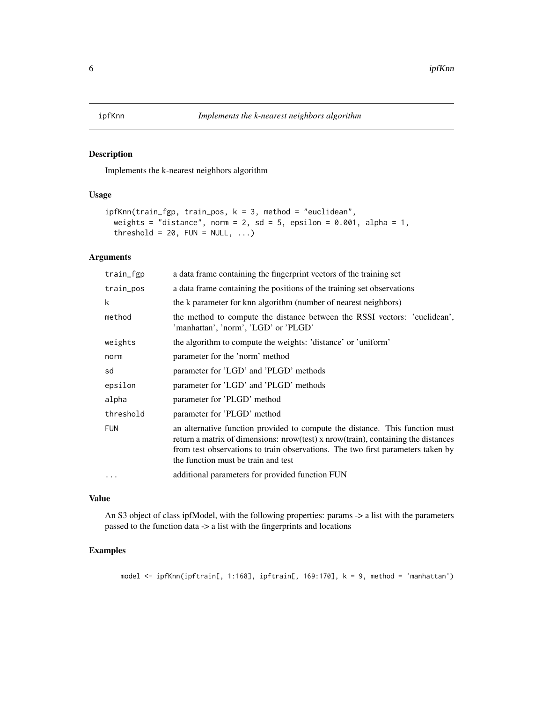<span id="page-5-0"></span>

#### Description

Implements the k-nearest neighbors algorithm

# Usage

```
ipfKnn(train_fgp, train_pos, k = 3, method = "euclidean",
 weights = "distance", norm = 2, sd = 5, epsilon = 0.001, alpha = 1,
 threshold = 20, FUN = NULL, ...)
```
#### Arguments

| train_fgp  | a data frame containing the fingerprint vectors of the training set                                                                                                                                                                                                                         |
|------------|---------------------------------------------------------------------------------------------------------------------------------------------------------------------------------------------------------------------------------------------------------------------------------------------|
| train_pos  | a data frame containing the positions of the training set observations                                                                                                                                                                                                                      |
| k          | the k parameter for knn algorithm (number of nearest neighbors)                                                                                                                                                                                                                             |
| method     | the method to compute the distance between the RSSI vectors: 'euclidean',<br>'manhattan', 'norm', 'LGD' or 'PLGD'                                                                                                                                                                           |
| weights    | the algorithm to compute the weights: 'distance' or 'uniform'                                                                                                                                                                                                                               |
| norm       | parameter for the 'norm' method                                                                                                                                                                                                                                                             |
| sd         | parameter for 'LGD' and 'PLGD' methods                                                                                                                                                                                                                                                      |
| epsilon    | parameter for 'LGD' and 'PLGD' methods                                                                                                                                                                                                                                                      |
| alpha      | parameter for 'PLGD' method                                                                                                                                                                                                                                                                 |
| threshold  | parameter for 'PLGD' method                                                                                                                                                                                                                                                                 |
| <b>FUN</b> | an alternative function provided to compute the distance. This function must<br>return a matrix of dimensions: nrow(test) x nrow(train), containing the distances<br>from test observations to train observations. The two first parameters taken by<br>the function must be train and test |
| $\ddotsc$  | additional parameters for provided function FUN                                                                                                                                                                                                                                             |

### Value

An S3 object of class ipfModel, with the following properties: params -> a list with the parameters passed to the function data -> a list with the fingerprints and locations

# Examples

model <- ipfKnn(ipftrain[, 1:168], ipftrain[, 169:170], k = 9, method = 'manhattan')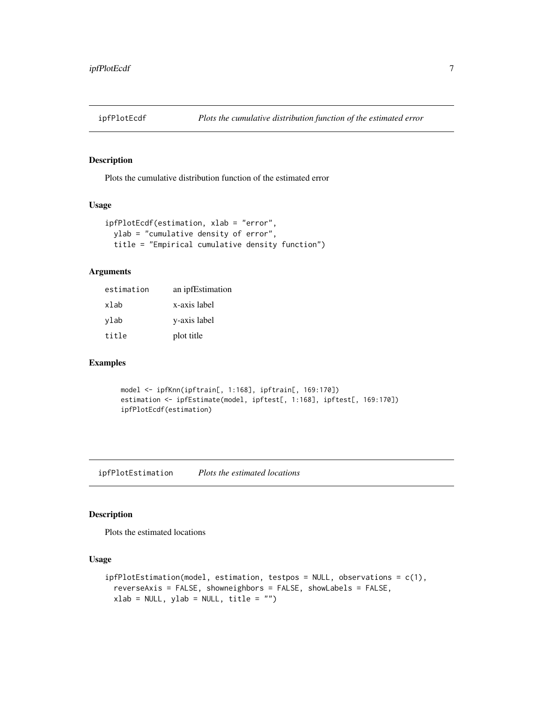<span id="page-6-0"></span>

# Description

Plots the cumulative distribution function of the estimated error

# Usage

```
ipfPlotEcdf(estimation, xlab = "error",
 ylab = "cumulative density of error",
 title = "Empirical cumulative density function")
```
#### Arguments

| estimation | an ipfEstimation |
|------------|------------------|
| xlab       | x-axis label     |
| ylab       | y-axis label     |
| title      | plot title       |

#### Examples

```
model <- ipfKnn(ipftrain[, 1:168], ipftrain[, 169:170])
estimation <- ipfEstimate(model, ipftest[, 1:168], ipftest[, 169:170])
ipfPlotEcdf(estimation)
```
ipfPlotEstimation *Plots the estimated locations*

# Description

Plots the estimated locations

#### Usage

```
ipfPlotEstimation(model, estimation, testpos = NULL, observations = c(1),
 reverseAxis = FALSE, showneighbors = FALSE, showLabels = FALSE,
 xlab = NULL, ylab = NULL, title = "")
```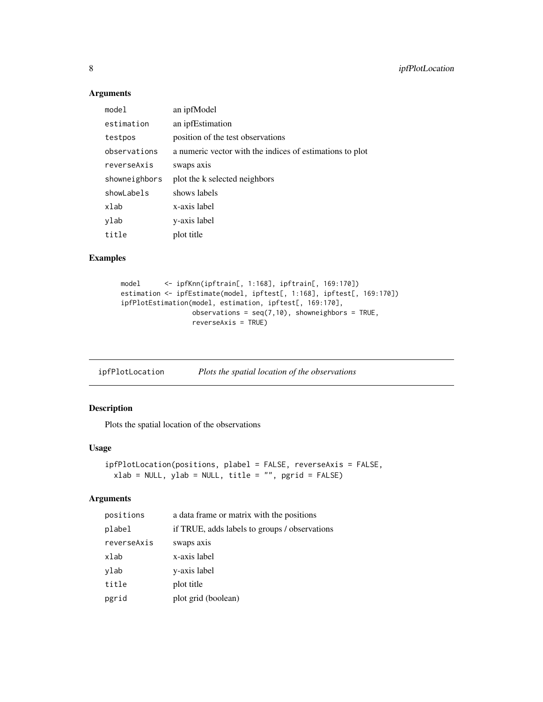# Arguments

| model         | an ipfModel                                              |
|---------------|----------------------------------------------------------|
| estimation    | an ipfEstimation                                         |
| testpos       | position of the test observations                        |
| observations  | a numeric vector with the indices of estimations to plot |
| reverseAxis   | swaps axis                                               |
| showneighbors | plot the k selected neighbors                            |
| showLabels    | shows labels                                             |
| xlab          | x-axis label                                             |
| ylab          | y-axis label                                             |
| title         | plot title                                               |

# Examples

```
model <- ipfKnn(ipftrain[, 1:168], ipftrain[, 169:170])
estimation <- ipfEstimate(model, ipftest[, 1:168], ipftest[, 169:170])
ipfPlotEstimation(model, estimation, ipftest[, 169:170],
                 observations = seq(7,10), showneighbors = TRUE,
                 reverseAxis = TRUE)
```
ipfPlotLocation *Plots the spatial location of the observations*

# Description

Plots the spatial location of the observations

# Usage

```
ipfPlotLocation(positions, plabel = FALSE, reverseAxis = FALSE,
 xlab = NULL, ylab = NULL, title = "", pgrid = FALSE)
```
#### Arguments

| positions   | a data frame or matrix with the positions     |
|-------------|-----------------------------------------------|
| plabel      | if TRUE, adds labels to groups / observations |
| reverseAxis | swaps axis                                    |
| xlab        | x-axis label                                  |
| ylab        | y-axis label                                  |
| title       | plot title                                    |
| pgrid       | plot grid (boolean)                           |

<span id="page-7-0"></span>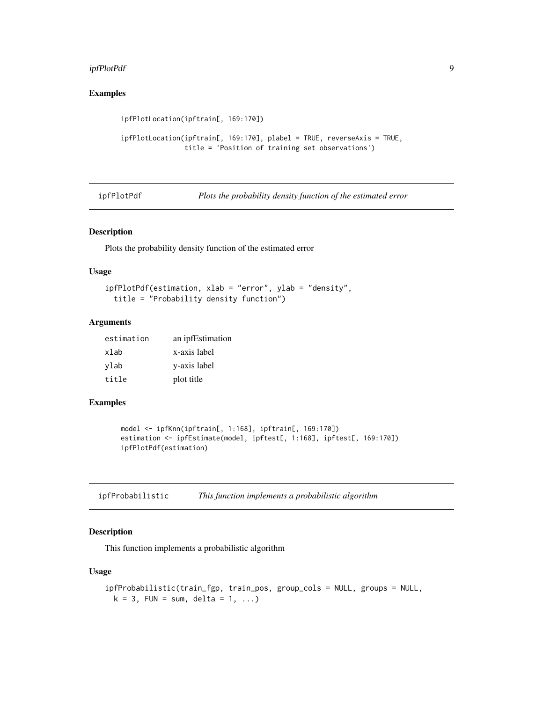#### <span id="page-8-0"></span>ipfPlotPdf 9

# Examples

```
ipfPlotLocation(ipftrain[, 169:170])
ipfPlotLocation(ipftrain[, 169:170], plabel = TRUE, reverseAxis = TRUE,
                title = 'Position of training set observations')
```
ipfPlotPdf *Plots the probability density function of the estimated error*

#### Description

Plots the probability density function of the estimated error

#### Usage

```
ipfPlotPdf(estimation, xlab = "error", ylab = "density",
 title = "Probability density function")
```
#### Arguments

| estimation | an ipfEstimation |
|------------|------------------|
| xlab       | x-axis label     |
| ylab       | y-axis label     |
| title      | plot title       |

#### Examples

```
model <- ipfKnn(ipftrain[, 1:168], ipftrain[, 169:170])
estimation <- ipfEstimate(model, ipftest[, 1:168], ipftest[, 169:170])
ipfPlotPdf(estimation)
```

| ipfProbabilistic | This function implements a probabilistic algorithm |  |  |  |
|------------------|----------------------------------------------------|--|--|--|
|------------------|----------------------------------------------------|--|--|--|

# Description

This function implements a probabilistic algorithm

# Usage

```
ipfProbabilistic(train_fgp, train_pos, group_cols = NULL, groups = NULL,
 k = 3, FUN = sum, delta = 1, ...)
```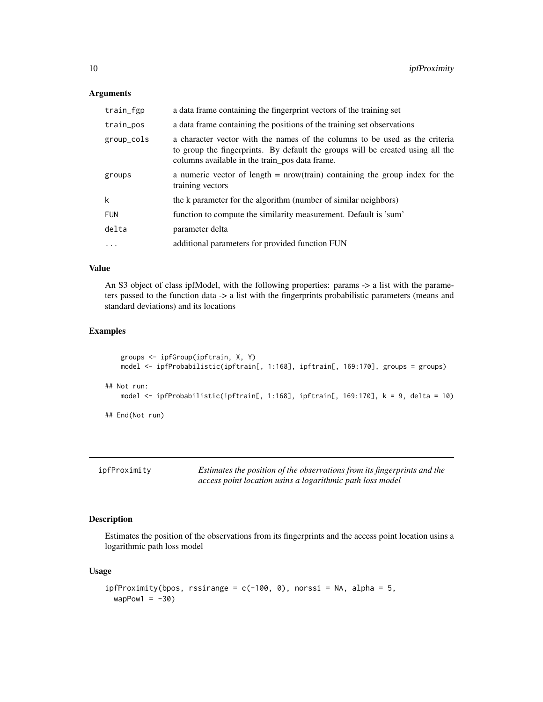# Arguments

| train_fgp  | a data frame containing the fingerprint vectors of the training set                                                                                                                                             |
|------------|-----------------------------------------------------------------------------------------------------------------------------------------------------------------------------------------------------------------|
| train_pos  | a data frame containing the positions of the training set observations                                                                                                                                          |
| group_cols | a character vector with the names of the columns to be used as the criteria<br>to group the fingerprints. By default the groups will be created using all the<br>columns available in the train_pos data frame. |
| groups     | a numeric vector of length $=$ nrow(train) containing the group index for the<br>training vectors                                                                                                               |
| k          | the k parameter for the algorithm (number of similar neighbors)                                                                                                                                                 |
| <b>FUN</b> | function to compute the similarity measurement. Default is 'sum'                                                                                                                                                |
| delta      | parameter delta                                                                                                                                                                                                 |
| $\ddots$   | additional parameters for provided function FUN                                                                                                                                                                 |
|            |                                                                                                                                                                                                                 |

# Value

An S3 object of class ipfModel, with the following properties: params -> a list with the parameters passed to the function data -> a list with the fingerprints probabilistic parameters (means and standard deviations) and its locations

# Examples

```
groups <- ipfGroup(ipftrain, X, Y)
   model <- ipfProbabilistic(ipftrain[, 1:168], ipftrain[, 169:170], groups = groups)
## Not run:
   model <- ipfProbabilistic(ipftrain[, 1:168], ipftrain[, 169:170], k = 9, delta = 10)
## End(Not run)
```

| ipfProximity | Estimates the position of the observations from its fingerprints and the |
|--------------|--------------------------------------------------------------------------|
|              | access point location usins a logarithmic path loss model                |

# Description

Estimates the position of the observations from its fingerprints and the access point location usins a logarithmic path loss model

# Usage

```
ipfProximity(bpos, rssirange = c(-100, 0), norssi = NA, alpha = 5,
 wapPow1 = -30)
```
<span id="page-9-0"></span>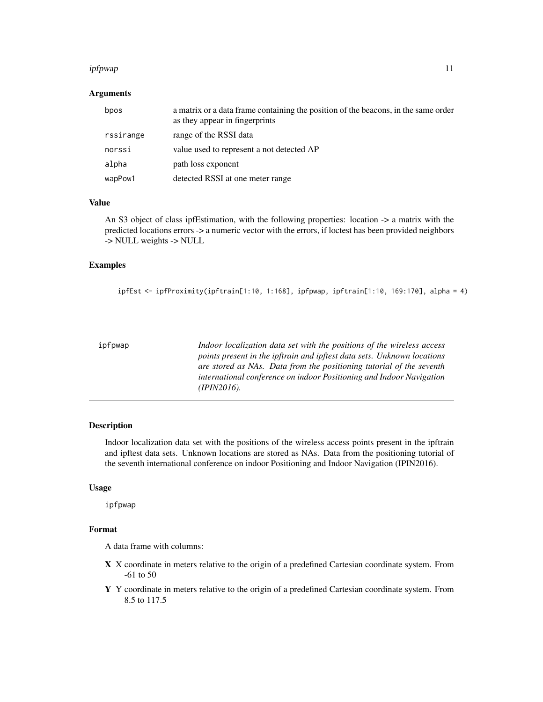#### <span id="page-10-0"></span>ipfpwap 11

# Arguments

| bpos      | a matrix or a data frame containing the position of the beacons, in the same order<br>as they appear in fingerprints |
|-----------|----------------------------------------------------------------------------------------------------------------------|
| rssirange | range of the RSSI data                                                                                               |
| norssi    | value used to represent a not detected AP                                                                            |
| alpha     | path loss exponent                                                                                                   |
| wapPow1   | detected RSSI at one meter range                                                                                     |

### Value

An S3 object of class ipfEstimation, with the following properties: location -> a matrix with the predicted locations errors -> a numeric vector with the errors, if loctest has been provided neighbors -> NULL weights -> NULL

#### Examples

ipfEst <- ipfProximity(ipftrain[1:10, 1:168], ipfpwap, ipftrain[1:10, 169:170], alpha = 4)

| ipfpwap | Indoor localization data set with the positions of the wireless access<br>points present in the ipftrain and ipftest data sets. Unknown locations<br>are stored as NAs. Data from the positioning tutorial of the seventh<br>international conference on indoor Positioning and Indoor Navigation |
|---------|---------------------------------------------------------------------------------------------------------------------------------------------------------------------------------------------------------------------------------------------------------------------------------------------------|
|         | $(IPIN2016)$ .                                                                                                                                                                                                                                                                                    |

# Description

Indoor localization data set with the positions of the wireless access points present in the ipftrain and ipftest data sets. Unknown locations are stored as NAs. Data from the positioning tutorial of the seventh international conference on indoor Positioning and Indoor Navigation (IPIN2016).

# Usage

ipfpwap

#### Format

A data frame with columns:

- X X coordinate in meters relative to the origin of a predefined Cartesian coordinate system. From -61 to 50
- Y Y coordinate in meters relative to the origin of a predefined Cartesian coordinate system. From 8.5 to 117.5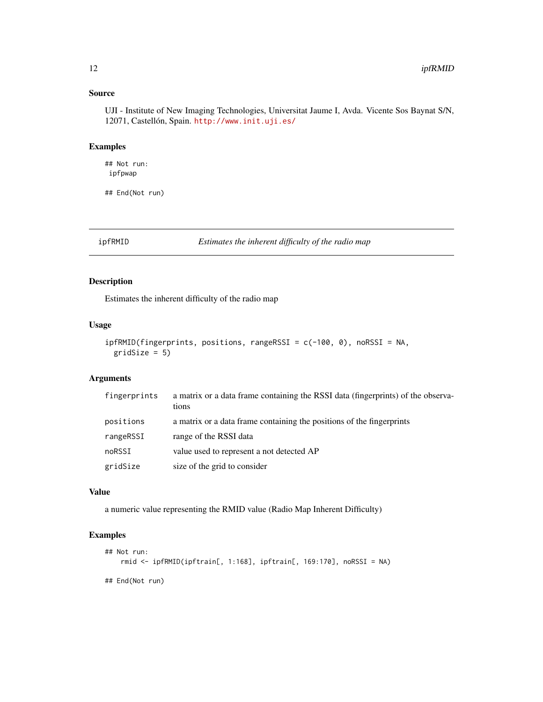# Source

UJI - Institute of New Imaging Technologies, Universitat Jaume I, Avda. Vicente Sos Baynat S/N, 12071, Castellón, Spain. <http://www.init.uji.es/>

# Examples

## Not run: ipfpwap

## End(Not run)

ipfRMID *Estimates the inherent difficulty of the radio map*

# Description

Estimates the inherent difficulty of the radio map

### Usage

```
ipfRMID(fingerprints, positions, rangeRSSI = c(-100, 0), noRSSI = NA,
 gridSize = 5)
```
#### Arguments

| fingerprints | a matrix or a data frame containing the RSSI data (fingerprints) of the observa-<br>tions |
|--------------|-------------------------------------------------------------------------------------------|
| positions    | a matrix or a data frame containing the positions of the fingerprints                     |
| rangeRSSI    | range of the RSSI data                                                                    |
| noRSSI       | value used to represent a not detected AP                                                 |
| gridSize     | size of the grid to consider                                                              |

#### Value

a numeric value representing the RMID value (Radio Map Inherent Difficulty)

```
## Not run:
    rmid <- ipfRMID(ipftrain[, 1:168], ipftrain[, 169:170], noRSSI = NA)
## End(Not run)
```
<span id="page-11-0"></span>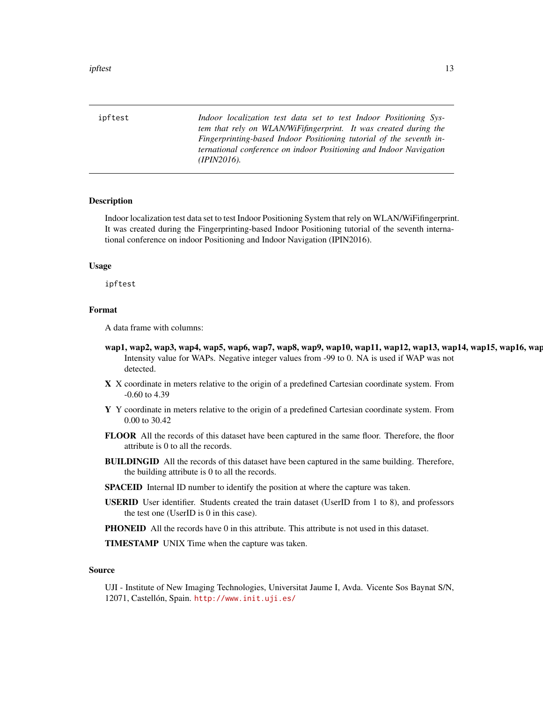<span id="page-12-0"></span>ipftest the contract of the contract of the contract of the contract of the contract of the contract of the contract of the contract of the contract of the contract of the contract of the contract of the contract of the co

ipftest *Indoor localization test data set to test Indoor Positioning System that rely on WLAN/WiFifingerprint. It was created during the Fingerprinting-based Indoor Positioning tutorial of the seventh international conference on indoor Positioning and Indoor Navigation (IPIN2016).*

#### Description

Indoor localization test data set to test Indoor Positioning System that rely on WLAN/WiFifingerprint. It was created during the Fingerprinting-based Indoor Positioning tutorial of the seventh international conference on indoor Positioning and Indoor Navigation (IPIN2016).

#### Usage

ipftest

#### Format

A data frame with columns:

- wap1, wap2, wap3, wap4, wap5, wap6, wap7, wap8, wap9, wap10, wap11, wap12, wap13, wap14, wap15, wap16, wap Intensity value for WAPs. Negative integer values from -99 to 0. NA is used if WAP was not detected.
- X X coordinate in meters relative to the origin of a predefined Cartesian coordinate system. From -0.60 to 4.39
- Y Y coordinate in meters relative to the origin of a predefined Cartesian coordinate system. From 0.00 to 30.42
- FLOOR All the records of this dataset have been captured in the same floor. Therefore, the floor attribute is 0 to all the records.
- BUILDINGID All the records of this dataset have been captured in the same building. Therefore, the building attribute is 0 to all the records.
- SPACEID Internal ID number to identify the position at where the capture was taken.
- USERID User identifier. Students created the train dataset (UserID from 1 to 8), and professors the test one (UserID is 0 in this case).
- **PHONEID** All the records have 0 in this attribute. This attribute is not used in this dataset.

TIMESTAMP UNIX Time when the capture was taken.

#### Source

UJI - Institute of New Imaging Technologies, Universitat Jaume I, Avda. Vicente Sos Baynat S/N, 12071, Castellón, Spain. <http://www.init.uji.es/>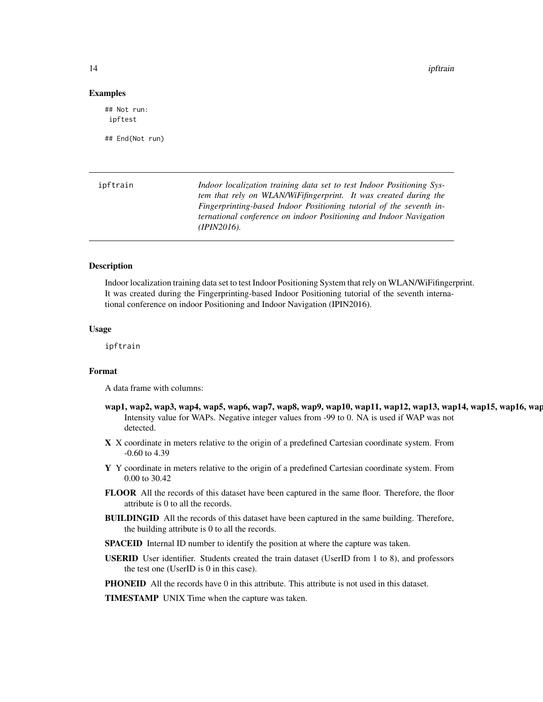14 ipftrain in the set of the set of the set of the set of the set of the set of the set of the set of the set of the set of the set of the set of the set of the set of the set of the set of the set of the set of the set o

#### Examples

## Not run: ipftest

## End(Not run)

| ipftrain | Indoor localization training data set to test Indoor Positioning Sys- |
|----------|-----------------------------------------------------------------------|
|          | tem that rely on WLAN/WiFifingerprint. It was created during the      |
|          | Fingerprinting-based Indoor Positioning tutorial of the seventh in-   |
|          | ternational conference on indoor Positioning and Indoor Navigation    |
|          | $(IPIN2016)$ .                                                        |
|          |                                                                       |

#### Description

Indoor localization training data set to test Indoor Positioning System that rely on WLAN/WiFifingerprint. It was created during the Fingerprinting-based Indoor Positioning tutorial of the seventh international conference on indoor Positioning and Indoor Navigation (IPIN2016).

#### Usage

ipftrain

#### Format

A data frame with columns:

- wap1, wap2, wap3, wap4, wap5, wap6, wap7, wap8, wap9, wap10, wap11, wap12, wap13, wap14, wap15, wap16, wap Intensity value for WAPs. Negative integer values from -99 to 0. NA is used if WAP was not detected.
- X X coordinate in meters relative to the origin of a predefined Cartesian coordinate system. From -0.60 to 4.39
- Y Y coordinate in meters relative to the origin of a predefined Cartesian coordinate system. From 0.00 to 30.42
- FLOOR All the records of this dataset have been captured in the same floor. Therefore, the floor attribute is 0 to all the records.
- BUILDINGID All the records of this dataset have been captured in the same building. Therefore, the building attribute is 0 to all the records.
- SPACEID Internal ID number to identify the position at where the capture was taken.
- USERID User identifier. Students created the train dataset (UserID from 1 to 8), and professors the test one (UserID is 0 in this case).
- **PHONEID** All the records have 0 in this attribute. This attribute is not used in this dataset.

TIMESTAMP UNIX Time when the capture was taken.

<span id="page-13-0"></span>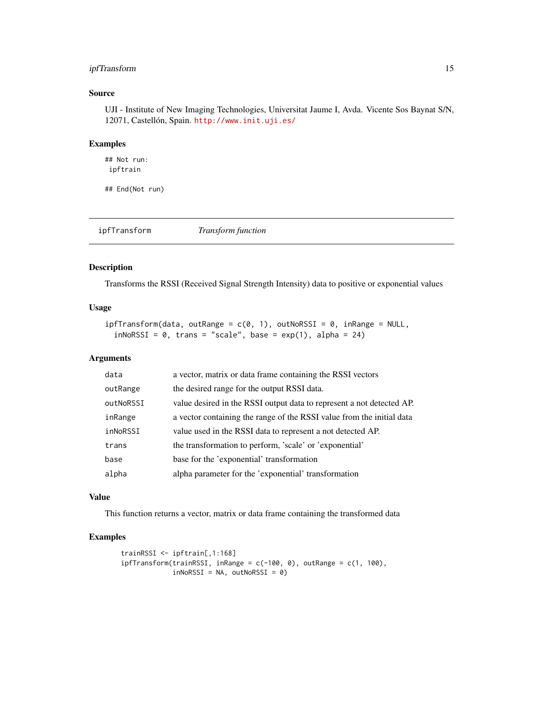# <span id="page-14-0"></span>ipfTransform 15

### Source

UJI - Institute of New Imaging Technologies, Universitat Jaume I, Avda. Vicente Sos Baynat S/N, 12071, Castellón, Spain. <http://www.init.uji.es/>

# Examples

## Not run: ipftrain

## End(Not run)

ipfTransform *Transform function*

# Description

Transforms the RSSI (Received Signal Strength Intensity) data to positive or exponential values

# Usage

```
ipffransform(data, outRange = c(0, 1), outNoRSSI = 0, inRange = NULL,inNoRSSI = 0, trans = "scale", base = exp(1), alpha = 24)
```
#### Arguments

| data      | a vector, matrix or data frame containing the RSSI vectors            |
|-----------|-----------------------------------------------------------------------|
| outRange  | the desired range for the output RSSI data.                           |
| outNoRSSI | value desired in the RSSI output data to represent a not detected AP. |
| inRange   | a vector containing the range of the RSSI value from the initial data |
| inNoRSSI  | value used in the RSSI data to represent a not detected AP.           |
| trans     | the transformation to perform, 'scale' or 'exponential'               |
| base      | base for the 'exponential' transformation                             |
| alpha     | alpha parameter for the 'exponential' transformation                  |
|           |                                                                       |

# Value

This function returns a vector, matrix or data frame containing the transformed data

```
trainRSSI <- ipftrain[,1:168]
ipffransform(trainRSSI, inRange = c(-100, 0), outRange = c(1, 100),inNoRSSI = NA, outNoRSSI = 0)
```